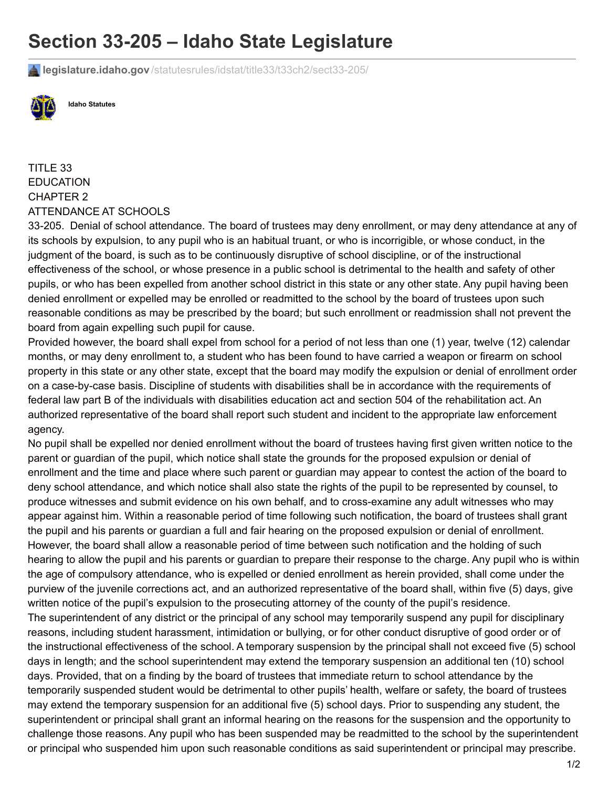## **Section 33-205 – Idaho State Legislature**

**legislature.idaho.gov** [/statutesrules/idstat/title33/t33ch2/sect33-205/](https://legislature.idaho.gov/statutesrules/idstat/title33/t33ch2/sect33-205/)



**Idaho Statutes**

 ATTENDANCE AT SCHOOLS TITLE 33 EDUCATION CHAPTER 2

 33-205. Denial of school attendance. The board of trustees may deny enrollment, or may deny attendance at any of its schools by expulsion, to any pupil who is an habitual truant, or who is incorrigible, or whose conduct, in the judgment of the board, is such as to be continuously disruptive of school discipline, or of the instructional effectiveness of the school, or whose presence in a public school is detrimental to the health and safety of other pupils, or who has been expelled from another school district in this state or any other state. Any pupil having been denied enrollment or expelled may be enrolled or readmitted to the school by the board of trustees upon such reasonable conditions as may be prescribed by the board; but such enrollment or readmission shall not prevent the board from again expelling such pupil for cause.

 Provided however, the board shall expel from school for a period of not less than one (1) year, twelve (12) calendar months, or may deny enrollment to, a student who has been found to have carried a weapon or firearm on school property in this state or any other state, except that the board may modify the expulsion or denial of enrollment order on a case-by-case basis. Discipline of students with disabilities shall be in accordance with the requirements of federal law part B of the individuals with disabilities education act and section 504 of the rehabilitation act. An authorized representative of the board shall report such student and incident to the appropriate law enforcement agency.

 No pupil shall be expelled nor denied enrollment without the board of trustees having first given written notice to the parent or guardian of the pupil, which notice shall state the grounds for the proposed expulsion or denial of enrollment and the time and place where such parent or guardian may appear to contest the action of the board to deny school attendance, and which notice shall also state the rights of the pupil to be represented by counsel, to produce witnesses and submit evidence on his own behalf, and to cross-examine any adult witnesses who may appear against him. Within a reasonable period of time following such notification, the board of trustees shall grant the pupil and his parents or guardian a full and fair hearing on the proposed expulsion or denial of enrollment. However, the board shall allow a reasonable period of time between such notification and the holding of such hearing to allow the pupil and his parents or guardian to prepare their response to the charge. Any pupil who is within the age of compulsory attendance, who is expelled or denied enrollment as herein provided, shall come under the purview of the juvenile corrections act, and an authorized representative of the board shall, within five (5) days, give written notice of the pupil's expulsion to the prosecuting attorney of the county of the pupil's residence. The superintendent of any district or the principal of any school may temporarily suspend any pupil for disciplinary reasons, including student harassment, intimidation or bullying, or for other conduct disruptive of good order or of the instructional effectiveness of the school. A temporary suspension by the principal shall not exceed five (5) school days in length; and the school superintendent may extend the temporary suspension an additional ten (10) school days. Provided, that on a finding by the board of trustees that immediate return to school attendance by the temporarily suspended student would be detrimental to other pupils' health, welfare or safety, the board of trustees may extend the temporary suspension for an additional five (5) school days. Prior to suspending any student, the superintendent or principal shall grant an informal hearing on the reasons for the suspension and the opportunity to challenge those reasons. Any pupil who has been suspended may be readmitted to the school by the superintendent or principal who suspended him upon such reasonable conditions as said superintendent or principal may prescribe.